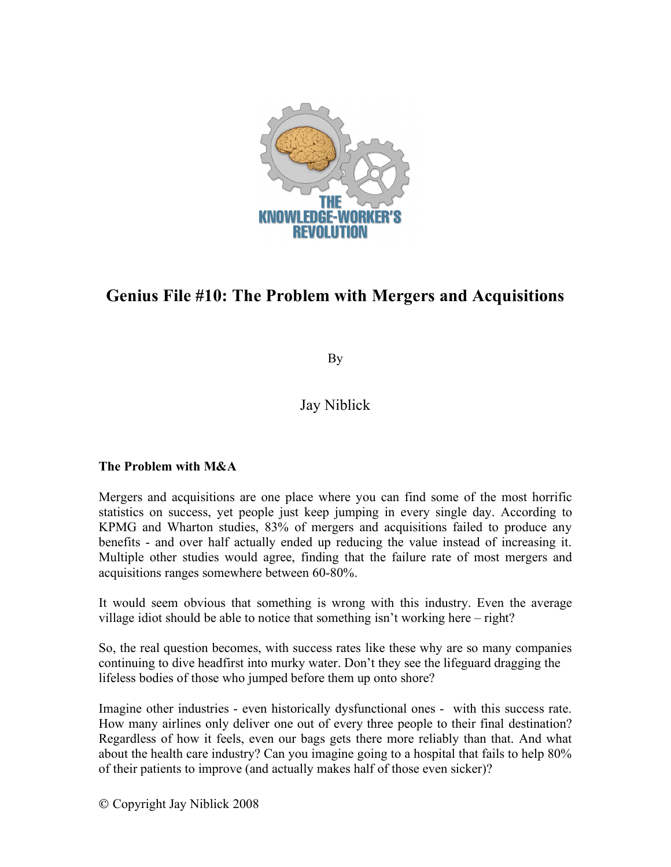

# **Genius File #10: The Problem with Mergers and Acquisitions**

By

# Jay Niblick

## **The Problem with M&A**

Mergers and acquisitions are one place where you can find some of the most horrific statistics on success, yet people just keep jumping in every single day. According to KPMG and Wharton studies, 83% of mergers and acquisitions failed to produce any benefits - and over half actually ended up reducing the value instead of increasing it. Multiple other studies would agree, finding that the failure rate of most mergers and acquisitions ranges somewhere between 60-80%.

It would seem obvious that something is wrong with this industry. Even the average village idiot should be able to notice that something isn't working here – right?

So, the real question becomes, with success rates like these why are so many companies continuing to dive headfirst into murky water. Don't they see the lifeguard dragging the lifeless bodies of those who jumped before them up onto shore?

Imagine other industries - even historically dysfunctional ones - with this success rate. How many airlines only deliver one out of every three people to their final destination? Regardless of how it feels, even our bags gets there more reliably than that. And what about the health care industry? Can you imagine going to a hospital that fails to help 80% of their patients to improve (and actually makes half of those even sicker)?

Copyright Jay Niblick 2008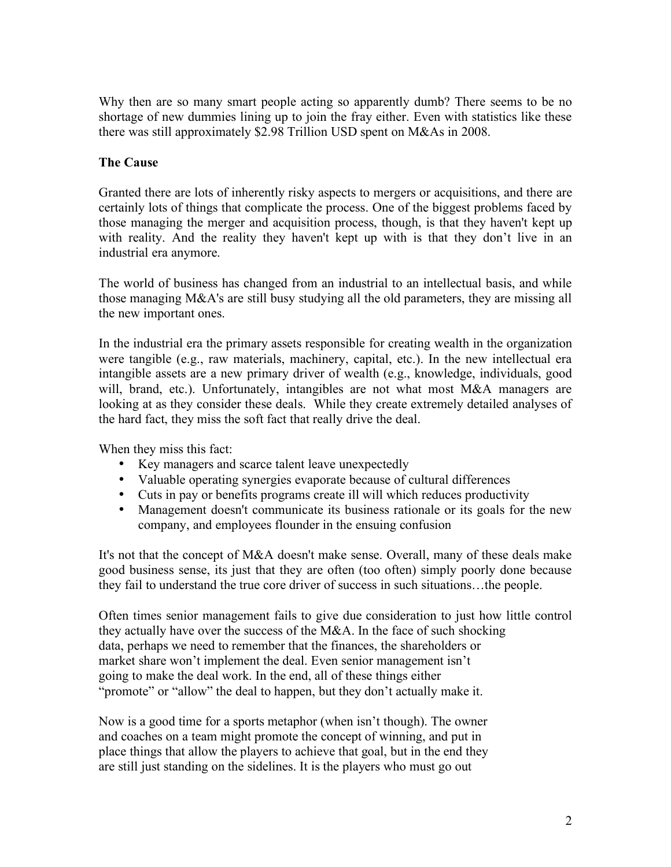Why then are so many smart people acting so apparently dumb? There seems to be no shortage of new dummies lining up to join the fray either. Even with statistics like these there was still approximately \$2.98 Trillion USD spent on M&As in 2008.

#### **The Cause**

Granted there are lots of inherently risky aspects to mergers or acquisitions, and there are certainly lots of things that complicate the process. One of the biggest problems faced by those managing the merger and acquisition process, though, is that they haven't kept up with reality. And the reality they haven't kept up with is that they don't live in an industrial era anymore.

The world of business has changed from an industrial to an intellectual basis, and while those managing M&A's are still busy studying all the old parameters, they are missing all the new important ones.

In the industrial era the primary assets responsible for creating wealth in the organization were tangible (e.g., raw materials, machinery, capital, etc.). In the new intellectual era intangible assets are a new primary driver of wealth (e.g., knowledge, individuals, good will, brand, etc.). Unfortunately, intangibles are not what most M&A managers are looking at as they consider these deals. While they create extremely detailed analyses of the hard fact, they miss the soft fact that really drive the deal.

When they miss this fact:

- Key managers and scarce talent leave unexpectedly
- Valuable operating synergies evaporate because of cultural differences
- Cuts in pay or benefits programs create ill will which reduces productivity
- Management doesn't communicate its business rationale or its goals for the new company, and employees flounder in the ensuing confusion

It's not that the concept of M&A doesn't make sense. Overall, many of these deals make good business sense, its just that they are often (too often) simply poorly done because they fail to understand the true core driver of success in such situations…the people.

Often times senior management fails to give due consideration to just how little control they actually have over the success of the M&A. In the face of such shocking data, perhaps we need to remember that the finances, the shareholders or market share won't implement the deal. Even senior management isn't going to make the deal work. In the end, all of these things either "promote" or "allow" the deal to happen, but they don't actually make it.

Now is a good time for a sports metaphor (when isn't though). The owner and coaches on a team might promote the concept of winning, and put in place things that allow the players to achieve that goal, but in the end they are still just standing on the sidelines. It is the players who must go out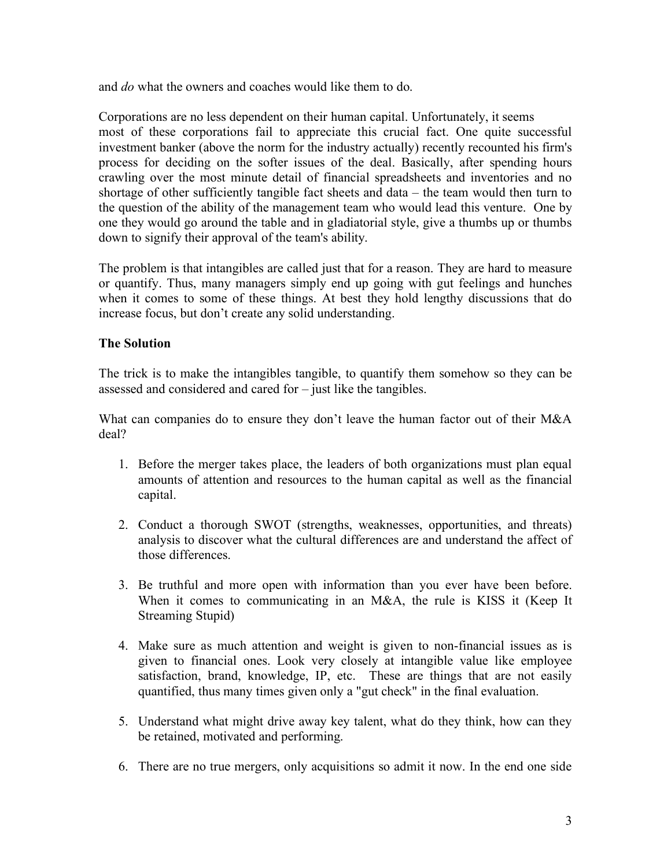and *do* what the owners and coaches would like them to do.

Corporations are no less dependent on their human capital. Unfortunately, it seems most of these corporations fail to appreciate this crucial fact. One quite successful investment banker (above the norm for the industry actually) recently recounted his firm's process for deciding on the softer issues of the deal. Basically, after spending hours crawling over the most minute detail of financial spreadsheets and inventories and no shortage of other sufficiently tangible fact sheets and data – the team would then turn to the question of the ability of the management team who would lead this venture. One by one they would go around the table and in gladiatorial style, give a thumbs up or thumbs down to signify their approval of the team's ability.

The problem is that intangibles are called just that for a reason. They are hard to measure or quantify. Thus, many managers simply end up going with gut feelings and hunches when it comes to some of these things. At best they hold lengthy discussions that do increase focus, but don't create any solid understanding.

### **The Solution**

The trick is to make the intangibles tangible, to quantify them somehow so they can be assessed and considered and cared for – just like the tangibles.

What can companies do to ensure they don't leave the human factor out of their M&A deal?

- 1. Before the merger takes place, the leaders of both organizations must plan equal amounts of attention and resources to the human capital as well as the financial capital.
- 2. Conduct a thorough SWOT (strengths, weaknesses, opportunities, and threats) analysis to discover what the cultural differences are and understand the affect of those differences.
- 3. Be truthful and more open with information than you ever have been before. When it comes to communicating in an M&A, the rule is KISS it (Keep It Streaming Stupid)
- 4. Make sure as much attention and weight is given to non-financial issues as is given to financial ones. Look very closely at intangible value like employee satisfaction, brand, knowledge, IP, etc. These are things that are not easily quantified, thus many times given only a "gut check" in the final evaluation.
- 5. Understand what might drive away key talent, what do they think, how can they be retained, motivated and performing.
- 6. There are no true mergers, only acquisitions so admit it now. In the end one side